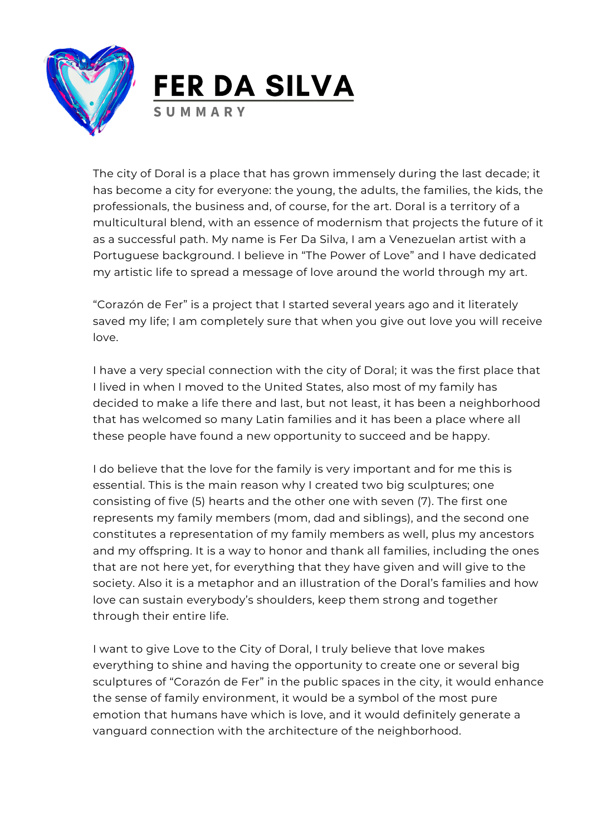



The city of Doral is a place that has grown immensely during the last decade; it has become a city for everyone: the young, the adults, the families, the kids, the professionals, the business and, of course, for the art. Doral is a territory of a multicultural blend, with an essence of modernism that projects the future of it as a successful path. My name is Fer Da Silva, I am a Venezuelan artist with a Portuguese background. I believe in "The Power of Love" and I have dedicated my artistic life to spread a message of love around the world through my art.

"Corazón de Fer" is a project that I started several years ago and it literately saved my life; I am completely sure that when you give out love you will receive love.

I have a very special connection with the city of Doral; it was the first place that I lived in when I moved to the United States, also most of my family has decided to make a life there and last, but not least, it has been a neighborhood that has welcomed so many Latin families and it has been a place where all these people have found a new opportunity to succeed and be happy.

I do believe that the love for the family is very important and for me this is essential. This is the main reason why I created two big sculptures; one consisting of five (5) hearts and the other one with seven (7). The first one represents my family members (mom, dad and siblings), and the second one constitutes a representation of my family members as well, plus my ancestors and my offspring. It is a way to honor and thank all families, including the ones that are not here yet, for everything that they have given and will give to the society. Also it is a metaphor and an illustration of the Doral's families and how love can sustain everybody's shoulders, keep them strong and together through their entire life.

I want to give Love to the City of Doral, I truly believe that love makes everything to shine and having the opportunity to create one or several big sculptures of "Corazón de Fer" in the public spaces in the city, it would enhance the sense of family environment, it would be a symbol of the most pure emotion that humans have which is love, and it would definitely generate a vanguard connection with the architecture of the neighborhood.